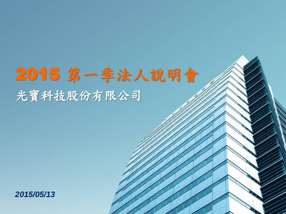# 人況明會 /// 2015 第一季法人說明會 光寶科技股份有限公司

**Investor Relations**

**March 21, 2006**

*2015/05/13*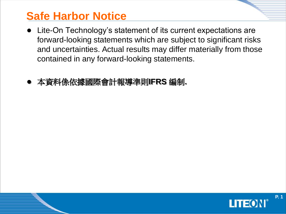# **Safe Harbor Notice**

- Lite-On Technology's statement of its current expectations are forward-looking statements which are subject to significant risks and uncertainties. Actual results may differ materially from those contained in any forward-looking statements.
- 本資料係依據國際會計報導準則**IFRS** 編制**.**

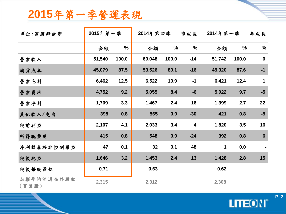#### **2015**年第一季營運表現

| 2015年第一季營運表現        |          |               |              |               |                         |              |       |                 |
|---------------------|----------|---------------|--------------|---------------|-------------------------|--------------|-------|-----------------|
| 單位:百萬新台幣            | 2015年第一季 |               | 2014年第四季 季成長 |               |                         | 2014年第一季 年成長 |       |                 |
|                     | 金額       | $\frac{1}{2}$ | 金額           | $\frac{0}{0}$ | %                       | 金額           | $\%$  | $\frac{0}{0}$   |
| 營業收入                | 51,540   | 100.0         | 60,048       | 100.0         | $-14$                   | 51,742       | 100.0 | $\mathbf 0$     |
| 銷貨成本                | 45,079   | 87.5          | 53,526       | 89.1          | $-16$                   | 45,320       | 87.6  | $-1$            |
| 營業毛利                | 6,462    | 12.5          | 6,522        | 10.9          | $-1$                    | 6,421        | 12.4  | $\mathbf 1$     |
| 營業費用                | 4,752    | 9.2           | 5,055        | 8.4           | $-6$                    | 5,022        | 9.7   | $-5$            |
| 營業淨利                | 1,709    | 3.3           | 1,467        | 2.4           | 16                      | 1,399        | 2.7   | 22              |
| 其他收入/支出             | 398      | 0.8           | 565          | 0.9           | $-30$                   | 421          | 0.8   | $-5$            |
| 税前利益                | 2,107    | 4.1           | 2,033        | 3.4           | $\overline{\mathbf{4}}$ | 1,820        | 3.5   | 16              |
| 所得税費用               | 415      | 0.8           | 548          | 0.9           | $-24$                   | 392          | 0.8   | $6\phantom{1}6$ |
| 淨利歸屬於非控制權益          | 47       | 0.1           | 32           | 0.1           | 48                      | $\mathbf 1$  | 0.0   |                 |
| 税後純益                | 1,646    | 3.2           | 1,453        | 2.4           | 13                      | 1,428        | 2.8   | 15              |
| 税後每股盈餘              | 0.71     |               | 0.63         |               |                         | 0.62         |       |                 |
| 加權平均流通在外股數<br>(百萬股) | 2,315    |               | 2,312        |               |                         | 2,308        |       |                 |

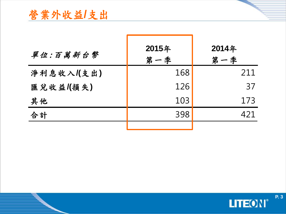# 營業外收益**/**支出

| 單位:百萬新台幣  | 2015年<br>第一季 | 2014年<br>第一季 |
|-----------|--------------|--------------|
| 淨利息收入(支出) | 168          | 211          |
| 匯兌收益(損失)  | 126          | 37           |
| 其他        | 103          | 173          |
| 合計        | 398          | 421          |
|           |              |              |

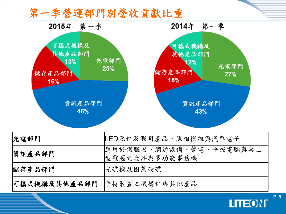#### 第一季營運部門別營收貢獻比重





**P. 4**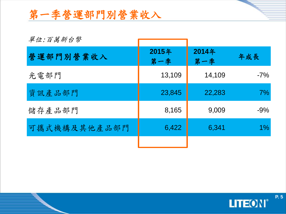# 第一季營運部門別營業收入

| 單位:百萬新台幣     |              |              |       |
|--------------|--------------|--------------|-------|
| 營運部門別營業收入    | 2015年<br>第一季 | 2014年<br>第一季 | 年成長   |
| 光電部門         | 13,109       | 14,109       | $-7%$ |
| 資訊產品部門       | 23,845       | 22,283       | 7%    |
| 儲存產品部門       | 8,165        | 9,009        | $-9%$ |
| 可攜式機構及其他產品部門 | 6,422        | 6,341        | $1\%$ |
|              |              |              |       |



**P. 5**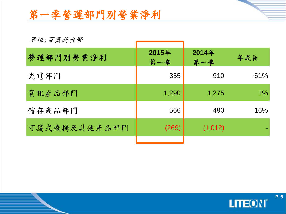### 第一季營運部門別營業淨利

#### 單位:百萬新台幣

| 單位:百萬新台幣     |              |              |        |
|--------------|--------------|--------------|--------|
| 營運部門別營業淨利    | 2015年<br>第一季 | 2014年<br>第一季 | 年成長    |
| 光電部門         | 355          | 910          | $-61%$ |
| 資訊產品部門       | 1,290        | 1,275        | $1\%$  |
| 儲存產品部門       | 566          | 490          | 16%    |
| 可攜式機構及其他產品部門 | (269)        | (1,012)      |        |
|              |              |              |        |

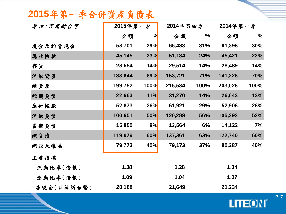#### **2015**年第一季合併資產負債表

| 單位:百萬新台幣   | 2015年第一季 |               | 2014年第四季 |               | 2014年第一季 |               |
|------------|----------|---------------|----------|---------------|----------|---------------|
|            | 金額       | $\frac{9}{6}$ | 金額       | $\frac{0}{0}$ | 金額       | $\frac{0}{0}$ |
| 現金及約當現金    | 58,701   | <b>29%</b>    | 66,483   | 31%           | 61,398   | 30%           |
| 應收帳款       | 45,145   | <b>23%</b>    | 51,134   | 24%           | 45,421   | 22%           |
| 存貨         | 28,554   | 14%           | 29,514   | 14%           | 28,489   | 14%           |
| 流動資產       | 138,644  | 69%           | 153,721  | 71%           | 141,226  | 70%           |
| 總資產        | 199,752  | <b>100%</b>   | 216,534  | 100%          | 203,026  | 100%          |
| 短期負債       | 22,663   | 11%           | 31,270   | 14%           | 26,043   | 13%           |
| 應付帳款       | 52,873   | <b>26%</b>    | 61,921   | 29%           | 52,906   | 26%           |
| 流動負債       | 100,651  | <b>50%</b>    | 120,289  | 56%           | 105,292  | 52%           |
| 長期負債       | 15,850   | 8%            | 13,564   | 6%            | 14,122   | 7%            |
| 總負債        | 119,979  | 60%           | 137,361  | 63%           | 122,740  | 60%           |
| 總股東權益      | 79,773   | 40%           | 79,173   | 37%           | 80,287   | 40%           |
| 主要指標       |          |               |          |               |          |               |
| 流動比率(倍數)   | 1.38     |               | 1.28     |               | 1.34     |               |
| 速動比率(倍數)   | 1.09     |               | 1.04     |               | 1.07     |               |
| 淨現金(百萬新台幣) | 20,188   |               | 21,649   |               | 21,234   |               |



**P. 7**